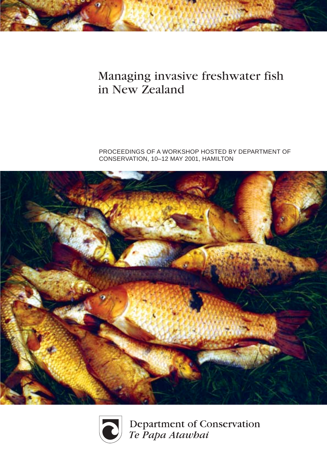# Managing invasive freshwater fish in New Zealand

PROCEEDINGS OF A WORKSHOP HOSTED BY DEPARTMENT OF CONSERVATION, 10–12 MAY 2001, HAMILTON





Department of Conservation<br>Te Papa Atawbai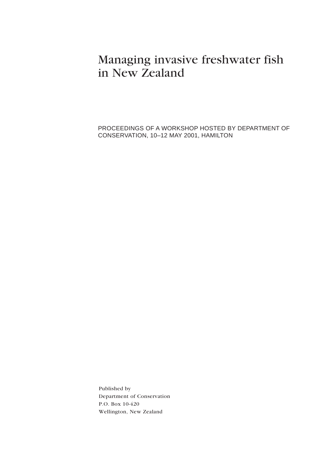# Managing invasive freshwater fish in New Zealand

PROCEEDINGS OF A WORKSHOP HOSTED BY DEPARTMENT OF CONSERVATION, 10–12 MAY 2001, HAMILTON

Published by Department of Conservation P.O. Box 10-420 Wellington, New Zealand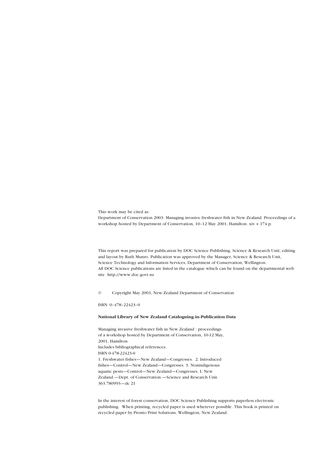This work may be cited as:

Department of Conservation 2003: Managing invasive freshwater fish in New Zealand. Proceedings of a workshop hosted by Department of Conservation, 10–12 May 2001, Hamilton. xiv + 174 p.

This report was prepared for publication by DOC Science Publishing, Science & Research Unit; editing and layout by Ruth Munro. Publication was approved by the Manager, Science & Research Unit, Science Technology and Information Services, Department of Conservation, Wellington. All DOC Science publications are listed in the catalogue which can be found on the departmental web site http://www.doc.govt.nz

© Copyright May 2003, New Zealand Department of Conservation

ISBN 0–478–22423–0

#### **National Library of New Zealand Cataloguing-in-Publication Data**

Managing invasive freshwater fish in New Zealand : proceedings of a workshop hosted by Department of Conservation, 10-12 May, 2001, Hamilton. Includes bibliographical references. ISBN 0-478-22423-0 1. Freshwater fishes—New Zealand—Congresses. 2. Introduced fishes—Control—New Zealand—Congresses. 3. Nonindigenous aquatic pests—Control—New Zealand—Congresses. I. New Zealand.—Dept. of Conservation.—Science and Research Unit. 363.780993—dc 21

In the interest of forest conservation, DOC Science Publishing supports paperless electronic publishing. When printing, recycled paper is used wherever possible. This book is printed on recycled paper by Pronto Print Solutions, Wellington, New Zealand.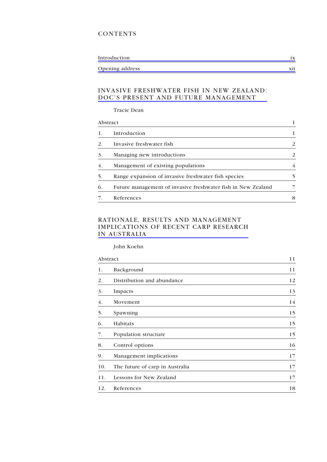### **CONTENTS**

| Introduction    |  |
|-----------------|--|
| Opening address |  |

#### [INVASIVE FRESHWATER FISH IN NEW ZEALAND:](pf01dean.pdf) DOC'S PRESENT AND FUTURE MANAGEMENT

Tracie Dean

|    | Abstract                                                     |   |
|----|--------------------------------------------------------------|---|
|    | Introduction                                                 |   |
| 2. | Invasive freshwater fish                                     | 2 |
| 3. | Managing new introductions                                   | 2 |
| 4. | Management of existing populations                           | 4 |
| 5. | Range expansion of invasive freshwater fish species          | 5 |
| 6. | Future management of invasive freshwater fish in New Zealand |   |
|    | References                                                   | 8 |

## RATIONALE, RESULTS AND MANAGEMENT [IMPLICATIONS OF RECENT CARP RESEARCH](pf02koehn.pdf) IN AUSTRALIA

John Koehn

| Abstract |                                 | 11 |
|----------|---------------------------------|----|
| 1.       | Background                      | 11 |
| 2.       | Distribution and abundance      | 12 |
| 3.       | Impacts                         | 13 |
| 4.       | Movement                        | 14 |
| 5.       | Spawning                        | 15 |
| 6.       | Habitats                        | 15 |
| 7.       | Population structure            | 15 |
| 8.       | Control options                 | 16 |
| 9.       | Management implications         | 17 |
| 10.      | The future of carp in Australia | 17 |
| 11.      | Lessons for New Zealand         | 17 |
| 12.      | References                      | 18 |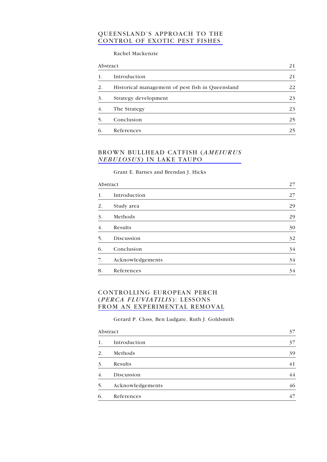#### [QUEENSLAND'S APPROACH TO THE](pf03mackenzie.pdf) CONTROL OF EXOTIC PEST FISHES

Rachel Mackenzie

| Abstract |                                                  | 21 |
|----------|--------------------------------------------------|----|
| 1.       | Introduction                                     | 21 |
| 2.       | Historical management of pest fish in Queensland | 22 |
| 3.       | Strategy development                             | 23 |
| 4.       | The Strategy                                     | 23 |
| 5.       | Conclusion                                       | 25 |
| 6.       | References                                       | 25 |

### [BROWN BULLHEAD CATFISH \(](pf04barnes.pdf)*AMEIURUS NEBULOSUS* ) IN LAKE TAUPO

Grant E. Barnes and Brendan J. Hicks

| Abstract |                  | 27 |
|----------|------------------|----|
| 1.       | Introduction     | 27 |
| 2.       | Study area       | 29 |
| 3.       | Methods          | 29 |
| 4.       | Results          | 30 |
| 5.       | Discussion       | 32 |
| 6.       | Conclusion       | 34 |
| 7.       | Acknowledgements | 34 |
| 8.       | References       | 34 |

# CONTROLLING EUROPEAN PERCH (*PERCA FLUVIATILIS*): LESSONS [FROM AN EXPERIMENTAL REMOVAL](pf05closs.pdf)

Gerard P. Closs, Ben Ludgate, Ruth J. Goldsmith

| Abstract |                  | 37 |
|----------|------------------|----|
| 1.       | Introduction     | 37 |
| 2.       | Methods          | 39 |
| 3.       | Results          | 41 |
| 4.       | Discussion       | 44 |
| 5.       | Acknowledgements | 46 |
| 6.       | References       | 47 |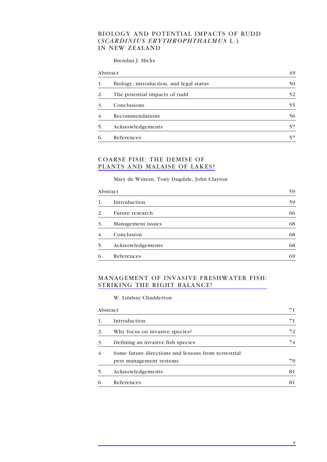### BIOLOGY AND POTENTIAL IMPACTS OF RUDD (*SCARDINIUS ERYTHROPHTHALMUS* L.) IN NEW ZEALAND

#### Brendan J. Hicks

| Abstract |                                         | 49 |
|----------|-----------------------------------------|----|
| 1.       | Biology, introduction, and legal status | 50 |
| 2.       | The potential impacts of rudd           | 52 |
| 3.       | Conclusions                             | 55 |
| 4.       | Recommendations                         | 56 |
| 5.       | Acknowledgements                        |    |
| 6.       | References                              |    |

#### COARSE FISH: THE DEMISE OF [PLANTS AND MALAISE OF LAKES?](pf07dewinton.pdf)

#### Mary de Winton, Tony Dugdale, John Clayton

| Abstract       |                   | 59 |
|----------------|-------------------|----|
| 1.             | Introduction      | 59 |
| 2 <sub>1</sub> | Future research   | 66 |
| 3.             | Management issues | 68 |
| 4.             | Conclusion        | 68 |
| 5.             | Acknowledgements  | 68 |
| 6.             | References        | 69 |

### [MANAGEMENT OF INVASIVE FRESHWATER FISH:](pf06hicks.pdf) STRIKING THE RIGHT BALANCE!

#### W. Lindsay Chadderton

| Abstract |                                                                                | 71 |
|----------|--------------------------------------------------------------------------------|----|
| 1.       | Introduction                                                                   | 71 |
| 2.       | Why focus on invasive species?                                                 | 72 |
| 3.       | Defining an invasive fish species                                              | 74 |
| 4.       | Some future directions and lessons from terrestrial<br>pest management systems | 79 |
| 5.       | Acknowledgements                                                               | 81 |
| 6.       | References                                                                     | 81 |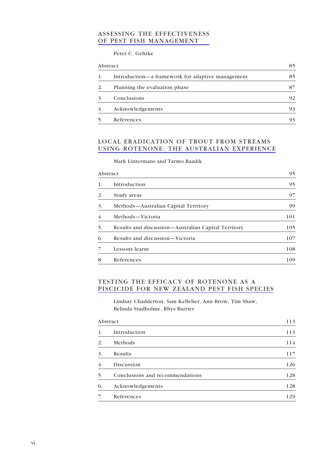### [ASSESSING THE EFFECTIVENESS](pf09gehrke1.pdf) OF PEST FISH MANAGEMENT

Peter C. Gehrke

| Abstract |                                                  | 85 |
|----------|--------------------------------------------------|----|
| 1.       | Introduction—a framework for adaptive management | 85 |
| 2.       | Planning the evaluation phase                    | 87 |
| 3.       | Conclusions                                      | 92 |
| 4.       | Acknowledgements                                 | 93 |
| 5.       | References                                       | 93 |

# LOCAL ERADICATION OF TROUT FROM STREAMS [USING ROTENONE: THE AUSTRALIAN EXPERIENCE](pf10lintermans.pdf)

Mark Lintermans and Tarmo Raadik

| Abstract |                                                     | 95  |
|----------|-----------------------------------------------------|-----|
| 1.       | Introduction                                        | 95  |
| 2.       | Study areas                                         | 97  |
| 3.       | Methods—Australian Capital Territory                | 99  |
| 4.       | Methods-Victoria                                    | 101 |
| 5.       | Results and discussion—Australian Capital Territory | 105 |
| 6.       | Results and discussion-Victoria                     | 107 |
| 7.       | Lessons learnt                                      | 108 |
| 8.       | References                                          | 109 |

### TESTING THE EFFICACY OF ROTENONE AS A [PISCICIDE FOR NEW ZEALAND PEST FISH SPECIES](pf11chadderton2.pdf)

Lindsay Chadderton, Sam Kelleher, Ann Brow, Tim Shaw, Belinda Studholme, Rhys Barrier

| Abstract |                                 | 113 |
|----------|---------------------------------|-----|
| 1.       | Introduction                    | 113 |
| 2.       | Methods                         | 114 |
| 3.       | Results                         | 117 |
| 4.       | Discussion                      | 126 |
| .5       | Conclusions and recommendations | 128 |
| 6.       | Acknowledgements                | 128 |
| 7.       | References                      | 129 |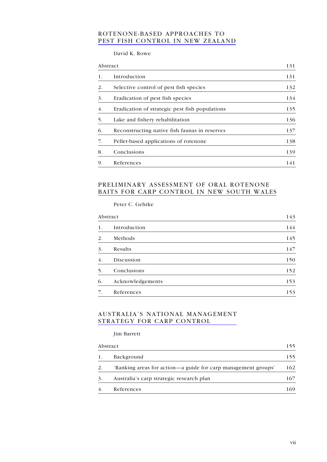### ROTENONE-BASED APPROACHES TO [PEST FISH CONTROL IN NEW ZEALAND](pf12rowe.pdf)

David K. Rowe

| Abstract |                                                | 131 |  |
|----------|------------------------------------------------|-----|--|
| 1.       | Introduction                                   | 131 |  |
| 2.       | Selective control of pest fish species         | 132 |  |
| 3.       | Eradication of pest fish species               | 134 |  |
| 4.       | Eradication of strategic pest fish populations | 135 |  |
| 5.       | Lake and fishery rehabilitation                | 136 |  |
| 6.       | Reconstructing native fish faunas in reserves  | 137 |  |
| 7.       | Pellet-based applications of rotenone          | 138 |  |
| 8.       | Conclusions                                    | 139 |  |
| 9.       | References                                     | 141 |  |

## PRELIMINARY ASSESSMENT OF ORAL ROTENONE [BAITS FOR CARP CONTROL IN NEW SOUTH WALES](pf13gehrke2.pdf)

Peter C. Gehrke

| Abstract |                  | 143 |
|----------|------------------|-----|
| 1.       | Introduction     | 144 |
| 2.       | Methods          | 145 |
| 3.       | Results          | 147 |
| 4.       | Discussion       | 150 |
| 5.       | Conclusions      | 152 |
| 6.       | Acknowledgements | 153 |
| 7.       | References       | 153 |

### [AUSTRALIA'S NATIONAL MANAGEMENT](pf14barrett.pdf) STRATEGY FOR CARP CONTROL

Jim Barrett

| Abstract |                                                               | 155 |
|----------|---------------------------------------------------------------|-----|
| 1.       | Background                                                    | 155 |
| 2.       | 'Ranking areas for action—a guide for carp management groups' | 162 |
| 3.       | Australia's carp strategic research plan                      | 167 |
| 4.       | References                                                    | 169 |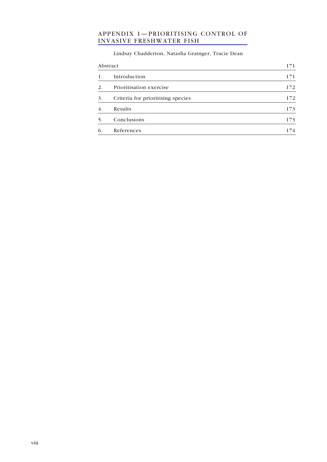# [APPENDIX 1—PRIORITISING CONTROL OF](pf15appendix.pdf) INVASIVE FRESHWATER FISH

# Lindsay Chadderton, Natasha Grainger, Tracie Dean

| Abstract         |                                   | 171 |
|------------------|-----------------------------------|-----|
| 1.               | Introduction                      | 171 |
| 2.               | Prioritisation exercise           | 172 |
| 3.               | Criteria for prioritising species | 172 |
| $\overline{4}$ . | Results                           | 173 |
| 5.               | Conclusions                       | 173 |
| 6.               | References                        | 74  |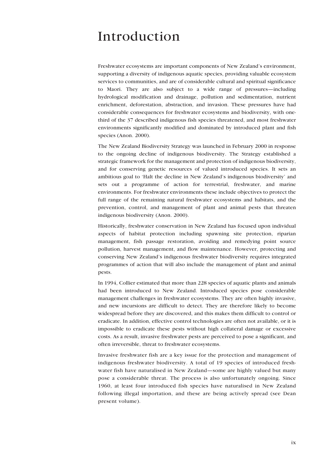# <span id="page-9-0"></span>Introduction

Freshwater ecosystems are important components of New Zealand's environment, supporting a diversity of indigenous aquatic species, providing valuable ecosystem services to communities, and are of considerable cultural and spiritual significance to Maori. They are also subject to a wide range of pressures—including hydrological modification and drainage, pollution and sedimentation, nutrient enrichment, deforestation, abstraction, and invasion. These pressures have had considerable consequences for freshwater ecosystems and biodiversity, with onethird of the 37 described indigenous fish species threatened, and most freshwater environments significantly modified and dominated by introduced plant and fish species (Anon. 2000).

The New Zealand Biodiversity Strategy was launched in February 2000 in response to the ongoing decline of indigenous biodiversity. The Strategy established a strategic framework for the management and protection of indigenous biodiversity, and for conserving genetic resources of valued introduced species. It sets an ambitious goal to 'Halt the decline in New Zealand's indigenous biodiversity' and sets out a programme of action for terrestrial, freshwater, and marine environments. For freshwater environments these include objectives to protect the full range of the remaining natural freshwater ecosystems and habitats, and the prevention, control, and management of plant and animal pests that threaten indigenous biodiversity (Anon. 2000).

Historically, freshwater conservation in New Zealand has focused upon individual aspects of habitat protection including spawning site protection, riparian management, fish passage restoration, avoiding and remedying point source pollution, harvest management, and flow maintenance. However, protecting and conserving New Zealand's indigenous freshwater biodiversity requires integrated programmes of action that will also include the management of plant and animal pests.

In 1994, Collier estimated that more than 228 species of aquatic plants and animals had been introduced to New Zealand. Introduced species pose considerable management challenges in freshwater ecosystems. They are often highly invasive, and new incursions are difficult to detect. They are therefore likely to become widespread before they are discovered, and this makes them difficult to control or eradicate. In addition, effective control technologies are often not available, or it is impossible to eradicate these pests without high collateral damage or excessive costs. As a result, invasive freshwater pests are perceived to pose a significant, and often irreversible, threat to freshwater ecosystems.

Invasive freshwater fish are a key issue for the protection and management of indigenous freshwater biodiversity. A total of 19 species of introduced freshwater fish have naturalised in New Zealand—some are highly valued but many pose a considerable threat. The process is also unfortunately ongoing. Since 1960, at least four introduced fish species have naturalised in New Zealand following illegal importation, and these are being actively spread (see Dean present volume).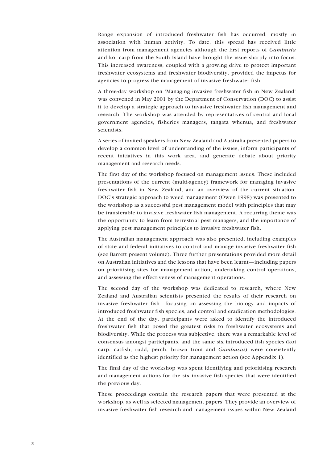Range expansion of introduced freshwater fish has occurred, mostly in association with human activity. To date, this spread has received little attention from management agencies although the first reports of *Gambusia* and koi carp from the South Island have brought the issue sharply into focus. This increased awareness, coupled with a growing drive to protect important freshwater ecosystems and freshwater biodiversity, provided the impetus for agencies to progress the management of invasive freshwater fish.

A three-day workshop on 'Managing invasive freshwater fish in New Zealand' was convened in May 2001 by the Department of Conservation (DOC) to assist it to develop a strategic approach to invasive freshwater fish management and research. The workshop was attended by representatives of central and local government agencies, fisheries managers, tangata whenua, and freshwater scientists.

A series of invited speakers from New Zealand and Australia presented papers to develop a common level of understanding of the issues, inform participants of recent initiatives in this work area, and generate debate about priority management and research needs.

The first day of the workshop focused on management issues. These included presentations of the current (multi-agency) framework for managing invasive freshwater fish in New Zealand, and an overview of the current situation. DOC's strategic approach to weed management (Owen 1998) was presented to the workshop as a successful pest management model with principles that may be transferable to invasive freshwater fish management. A recurring theme was the opportunity to learn from terrestrial pest managers, and the importance of applying pest management principles to invasive freshwater fish.

The Australian management approach was also presented, including examples of state and federal initiatives to control and manage invasive freshwater fish (see Barrett present volume). Three further presentations provided more detail on Australian initiatives and the lessons that have been learnt—including papers on prioritising sites for management action, undertaking control operations, and assessing the effectiveness of management operations.

The second day of the workshop was dedicated to research, where New Zealand and Australian scientists presented the results of their research on invasive freshwater fish—focusing on assessing the biology and impacts of introduced freshwater fish species, and control and eradication methodologies. At the end of the day, participants were asked to identify the introduced freshwater fish that posed the greatest risks to freshwater ecosystems and biodiversity. While the process was subjective, there was a remarkable level of consensus amongst participants, and the same six introduced fish species (koi carp, catfish, rudd, perch, brown trout and *Gambusia*) were consistently identified as the highest priority for management action (see Appendix 1).

The final day of the workshop was spent identifying and prioritising research and management actions for the six invasive fish species that were identified the previous day.

These proceedings contain the research papers that were presented at the workshop, as well as selected management papers. They provide an overview of invasive freshwater fish research and management issues within New Zealand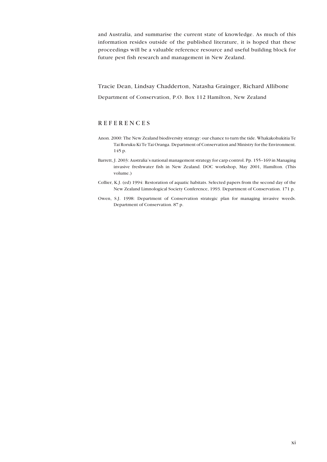and Australia, and summarise the current state of knowledge. As much of this information resides outside of the published literature, it is hoped that these proceedings will be a valuable reference resource and useful building block for future pest fish research and management in New Zealand.

Tracie Dean, Lindsay Chadderton, Natasha Grainger, Richard Allibone Department of Conservation, P.O. Box 112 Hamilton, New Zealand

#### REFERENCES

- Anon. 2000: The New Zealand biodiversity strategy: our chance to turn the tide. Whakakohukitia Te Tai Roruku Ki Te Tai Oranga. Department of Conservation and Ministry for the Environment. 145 p.
- Barrett, J. 2003: Australia's national management strategy for carp control. Pp. 155–169 in Managing invasive freshwater fish in New Zealand. DOC workshop, May 2001, Hamilton. (This volume.)
- Collier, K.J. (ed) 1994: Restoration of aquatic habitats. Selected papers from the second day of the New Zealand Limnological Society Conference, 1993. Department of Conservation. 171 p.
- Owen, S.J. 1998: Department of Conservation strategic plan for managing invasive weeds. Department of Conservation. 87 p.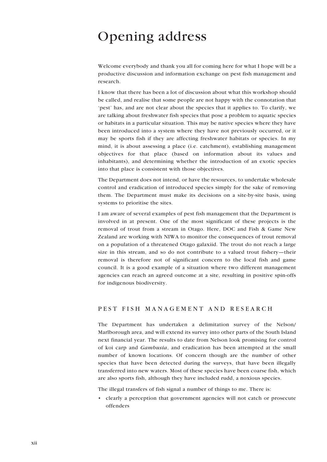# <span id="page-12-0"></span>Opening address

Welcome everybody and thank you all for coming here for what I hope will be a productive discussion and information exchange on pest fish management and research.

I know that there has been a lot of discussion about what this workshop should be called, and realise that some people are not happy with the connotation that 'pest' has, and are not clear about the species that it applies to. To clarify, we are talking about freshwater fish species that pose a problem to aquatic species or habitats in a particular situation. This may be native species where they have been introduced into a system where they have not previously occurred, or it may be sports fish if they are affecting freshwater habitats or species. In my mind, it is about assessing a place (i.e. catchment), establishing management objectives for that place (based on information about its values and inhabitants), and determining whether the introduction of an exotic species into that place is consistent with those objectives.

The Department does not intend, or have the resources, to undertake wholesale control and eradication of introduced species simply for the sake of removing them. The Department must make its decisions on a site-by-site basis, using systems to prioritise the sites.

I am aware of several examples of pest fish management that the Department is involved in at present. One of the most significant of these projects is the removal of trout from a stream in Otago. Here, DOC and Fish & Game New Zealand are working with NIWA to monitor the consequences of trout removal on a population of a threatened Otago galaxiid. The trout do not reach a large size in this stream, and so do not contribute to a valued trout fishery—their removal is therefore not of significant concern to the local fish and game council. It is a good example of a situation where two different management agencies can reach an agreed outcome at a site, resulting in positive spin-offs for indigenous biodiversity.

#### PEST FISH MANAGEMENT AND RESEARCH

The Department has undertaken a delimitation survey of the Nelson/ Marlborough area, and will extend its survey into other parts of the South Island next financial year. The results to date from Nelson look promising for control of koi carp and *Gambusia*, and eradication has been attempted at the small number of known locations. Of concern though are the number of other species that have been detected during the surveys, that have been illegally transferred into new waters. Most of these species have been coarse fish, which are also sports fish, although they have included rudd, a noxious species.

The illegal transfers of fish signal a number of things to me. There is:

• clearly a perception that government agencies will not catch or prosecute offenders